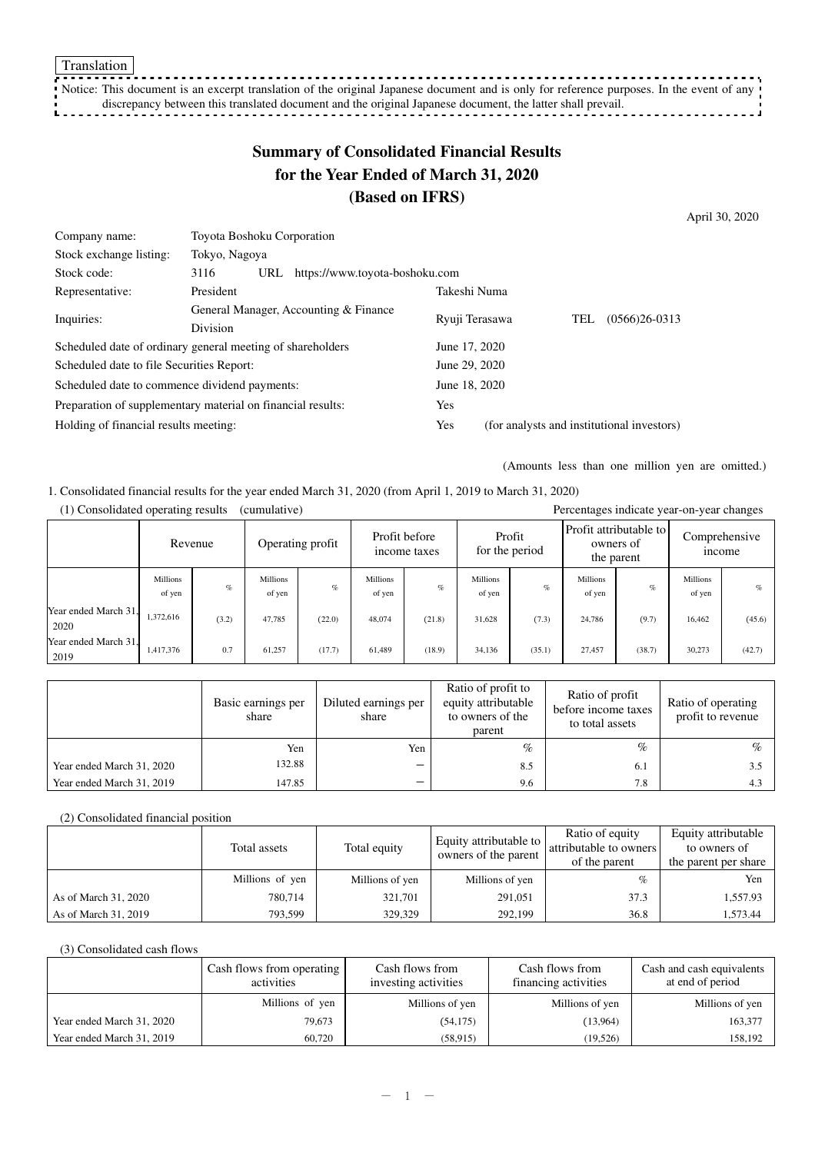Notice: This document is an excerpt translation of the original Japanese document and is only for reference purposes. In the event of any discrepancy between this translated document and the original Japanese document, the latter shall prevail. - 7

# **Summary of Consolidated Financial Results for the Year Ended of March 31, 2020 (Based on IFRS)**

April 30, 2020

| 3116                                              | URL |               |                                                                                                                                                         |                       |                                |                                                |                                            |
|---------------------------------------------------|-----|---------------|---------------------------------------------------------------------------------------------------------------------------------------------------------|-----------------------|--------------------------------|------------------------------------------------|--------------------------------------------|
| President                                         |     |               |                                                                                                                                                         |                       |                                |                                                |                                            |
| General Manager, Accounting & Finance<br>Division |     |               |                                                                                                                                                         | Ryuji Terasawa<br>TEL |                                |                                                | $(0566)26-0313$                            |
|                                                   |     |               |                                                                                                                                                         |                       |                                |                                                |                                            |
|                                                   |     |               |                                                                                                                                                         |                       |                                |                                                |                                            |
| Scheduled date to file Securities Report:         |     |               |                                                                                                                                                         | June 29, 2020         |                                |                                                |                                            |
| Scheduled date to commence dividend payments:     |     |               |                                                                                                                                                         |                       |                                |                                                |                                            |
|                                                   |     |               |                                                                                                                                                         | Yes                   |                                |                                                |                                            |
| Holding of financial results meeting:             |     |               |                                                                                                                                                         | Yes                   |                                |                                                |                                            |
|                                                   |     | Tokyo, Nagoya | Toyota Boshoku Corporation<br>Scheduled date of ordinary general meeting of shareholders<br>Preparation of supplementary material on financial results: |                       | https://www.toyota-boshoku.com | Takeshi Numa<br>June 17, 2020<br>June 18, 2020 | (for analysts and institutional investors) |

(Amounts less than one million yen are omitted.)

1. Consolidated financial results for the year ended March 31, 2020 (from April 1, 2019 to March 31, 2020)

| (1) Consondated operating results<br>$(c$ umurative)<br>Percentages mulcate year-on-year changes |                           |         |                    |                  |                    |                               |                    |                          |                           |                                                   |                               |        |
|--------------------------------------------------------------------------------------------------|---------------------------|---------|--------------------|------------------|--------------------|-------------------------------|--------------------|--------------------------|---------------------------|---------------------------------------------------|-------------------------------|--------|
|                                                                                                  |                           | Revenue |                    | Operating profit |                    | Profit before<br>income taxes |                    | Profit<br>for the period |                           | Profit attributable to<br>owners of<br>the parent | Comprehensive<br><i>ncome</i> |        |
|                                                                                                  | <b>Millions</b><br>of yen | $\%$    | Millions<br>of yen | $\%$             | Millions<br>of yen | $\%$                          | Millions<br>of yen | $\%$                     | <b>Millions</b><br>of yen | $\%$                                              | Millions<br>of yen            | $\%$   |
| Year ended March 31.<br>2020                                                                     | 1,372,616                 | (3.2)   | 47,785             | (22.0)           | 48,074             | (21.8)                        | 31.628             | (7.3)                    | 24,786                    | (9.7)                                             | 16,462                        | (45.6) |
| Year ended March 31,<br>2019                                                                     | 1,417,376                 | 0.7     | 61.257             | (17.7)           | 61,489             | (18.9)                        | 34,136             | (35.1)                   | 27,457                    | (38.7)                                            | 30,273                        | (42.7) |

(1) Consolidated operating results (cumulative) Percentages indicate year-on-year changes

|                           | Basic earnings per<br>share | Diluted earnings per<br>share | Ratio of profit to<br>equity attributable<br>to owners of the<br>parent | Ratio of profit<br>before income taxes<br>to total assets | Ratio of operating<br>profit to revenue |
|---------------------------|-----------------------------|-------------------------------|-------------------------------------------------------------------------|-----------------------------------------------------------|-----------------------------------------|
|                           | Yen                         | Yen                           | $\%$                                                                    | $\%$                                                      | $\%$                                    |
| Year ended March 31, 2020 | 132.88                      | $\overline{\phantom{0}}$      | 8.5                                                                     | 6.1                                                       | 3.5                                     |
| Year ended March 31, 2019 | 147.85                      | $\overline{\phantom{0}}$      | 9.6                                                                     | 7.8                                                       | 4.3                                     |

#### (2) Consolidated financial position

|                      | Total assets    | Total equity    | Equity attributable to<br>owners of the parent | Ratio of equity<br>attributable to owners<br>of the parent | Equity attributable<br>to owners of<br>the parent per share |
|----------------------|-----------------|-----------------|------------------------------------------------|------------------------------------------------------------|-------------------------------------------------------------|
|                      | Millions of yen | Millions of yen | Millions of yen                                | %                                                          | Yen                                                         |
| As of March 31, 2020 | 780,714         | 321,701         | 291,051                                        | 37.3                                                       | 1,557.93                                                    |
| As of March 31, 2019 | 793.599         | 329,329         | 292,199                                        | 36.8                                                       | 1,573.44                                                    |

#### (3) Consolidated cash flows

|                           | Cash flows from operating<br>activities | Cash flows from<br>investing activities | Cash flows from<br>financing activities | Cash and cash equivalents<br>at end of period |
|---------------------------|-----------------------------------------|-----------------------------------------|-----------------------------------------|-----------------------------------------------|
|                           | Millions of yen                         | Millions of yen                         | Millions of yen                         | Millions of yen                               |
| Year ended March 31, 2020 | 79,673                                  | (54, 175)                               | (13, 964)                               | 163,377                                       |
| Year ended March 31, 2019 | 60,720                                  | (58, 915)                               | (19, 526)                               | 158,192                                       |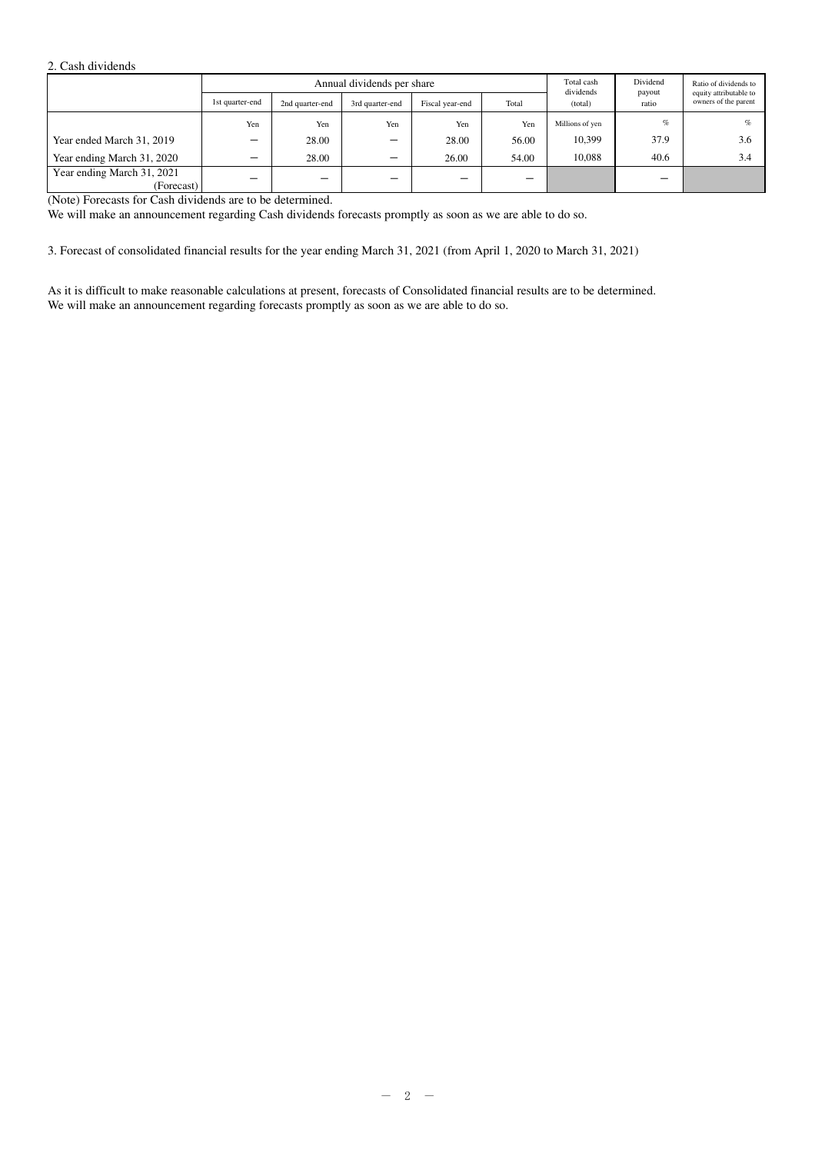#### 2. Cash dividends

|                                          |                 | Annual dividends per share |                 |                 |       |                      | Dividend<br>payout | Ratio of dividends to<br>equity attributable to |  |
|------------------------------------------|-----------------|----------------------------|-----------------|-----------------|-------|----------------------|--------------------|-------------------------------------------------|--|
|                                          | 1st quarter-end | 2nd quarter-end            | 3rd quarter-end | Fiscal year-end | Total | dividends<br>(total) | ratio              | owners of the parent                            |  |
|                                          | Yen             | Yen                        | Yen             | Yen             | Yen   | Millions of yen      | $\%$               | $\%$                                            |  |
| Year ended March 31, 2019                |                 | 28.00                      | —               | 28.00           | 56.00 | 10,399               | 37.9               | 3.6                                             |  |
| Year ending March 31, 2020               | -               | 28.00                      | –               | 26.00           | 54.00 | 10.088               | 40.6               | 3.4                                             |  |
| Year ending March 31, 2021<br>(Forecast) |                 |                            | —               |                 | -     |                      | -                  |                                                 |  |

(Note) Forecasts for Cash dividends are to be determined.

We will make an announcement regarding Cash dividends forecasts promptly as soon as we are able to do so.

3. Forecast of consolidated financial results for the year ending March 31, 2021 (from April 1, 2020 to March 31, 2021)

As it is difficult to make reasonable calculations at present, forecasts of Consolidated financial results are to be determined. We will make an announcement regarding forecasts promptly as soon as we are able to do so.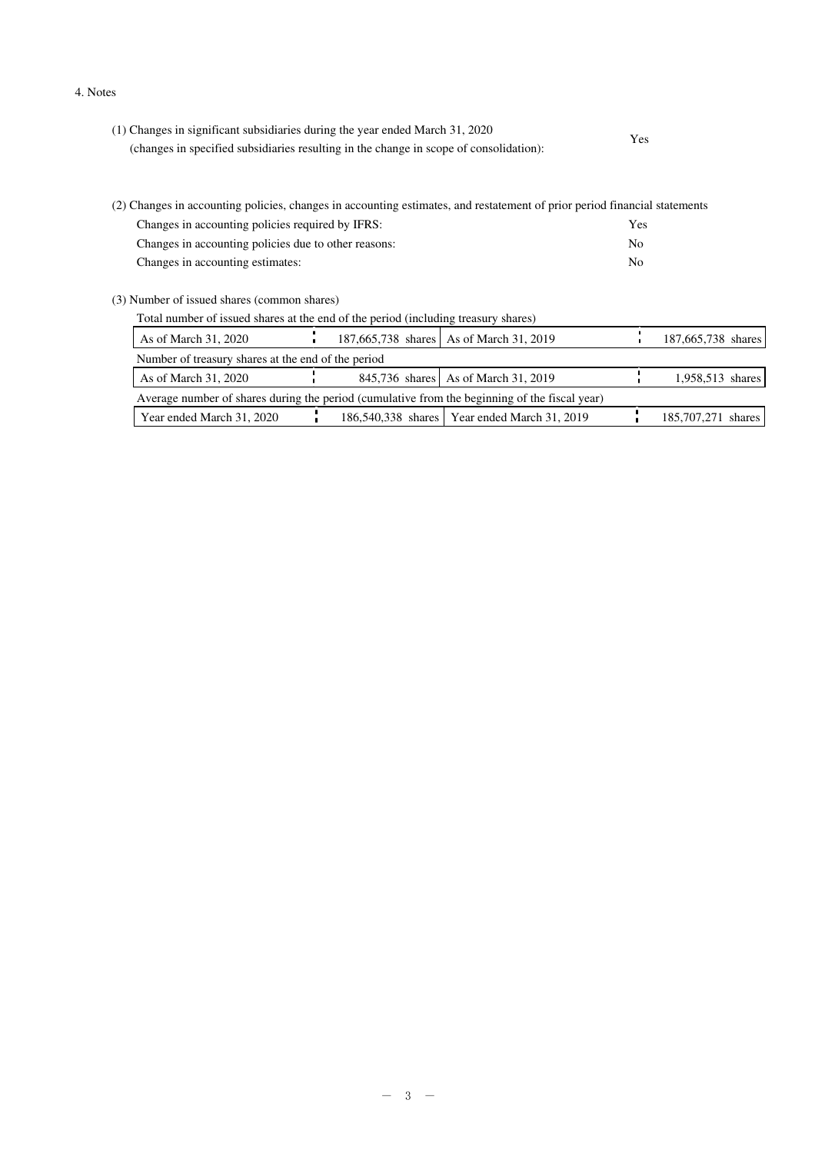#### 4. Notes

| (1) Changes in significant subsidiaries during the year ended March 31, 2020           | Yes |
|----------------------------------------------------------------------------------------|-----|
| (changes in specified subsidiaries resulting in the change in scope of consolidation): |     |

| (2) Changes in accounting policies, changes in accounting estimates, and restatement of prior period financial statements |     |  |  |  |  |
|---------------------------------------------------------------------------------------------------------------------------|-----|--|--|--|--|
| Changes in accounting policies required by IFRS:                                                                          | Yes |  |  |  |  |
| Changes in accounting policies due to other reasons:                                                                      | No  |  |  |  |  |
| Changes in accounting estimates:                                                                                          | No  |  |  |  |  |
|                                                                                                                           |     |  |  |  |  |

(3) Number of issued shares (common shares)

| Total number of issued shares at the end of the period (including treasury shares) |  |
|------------------------------------------------------------------------------------|--|
|                                                                                    |  |

|                                                                                               |  |  |                                                                                                                                  | 187,665,738 shares |  |
|-----------------------------------------------------------------------------------------------|--|--|----------------------------------------------------------------------------------------------------------------------------------|--------------------|--|
| Number of treasury shares at the end of the period                                            |  |  |                                                                                                                                  |                    |  |
|                                                                                               |  |  |                                                                                                                                  | 1,958,513 shares   |  |
| Average number of shares during the period (cumulative from the beginning of the fiscal year) |  |  |                                                                                                                                  |                    |  |
|                                                                                               |  |  |                                                                                                                                  | 185,707,271 shares |  |
|                                                                                               |  |  | 187,665,738 shares As of March 31, 2019<br>845,736 shares As of March 31, 2019<br>186,540,338 shares   Year ended March 31, 2019 |                    |  |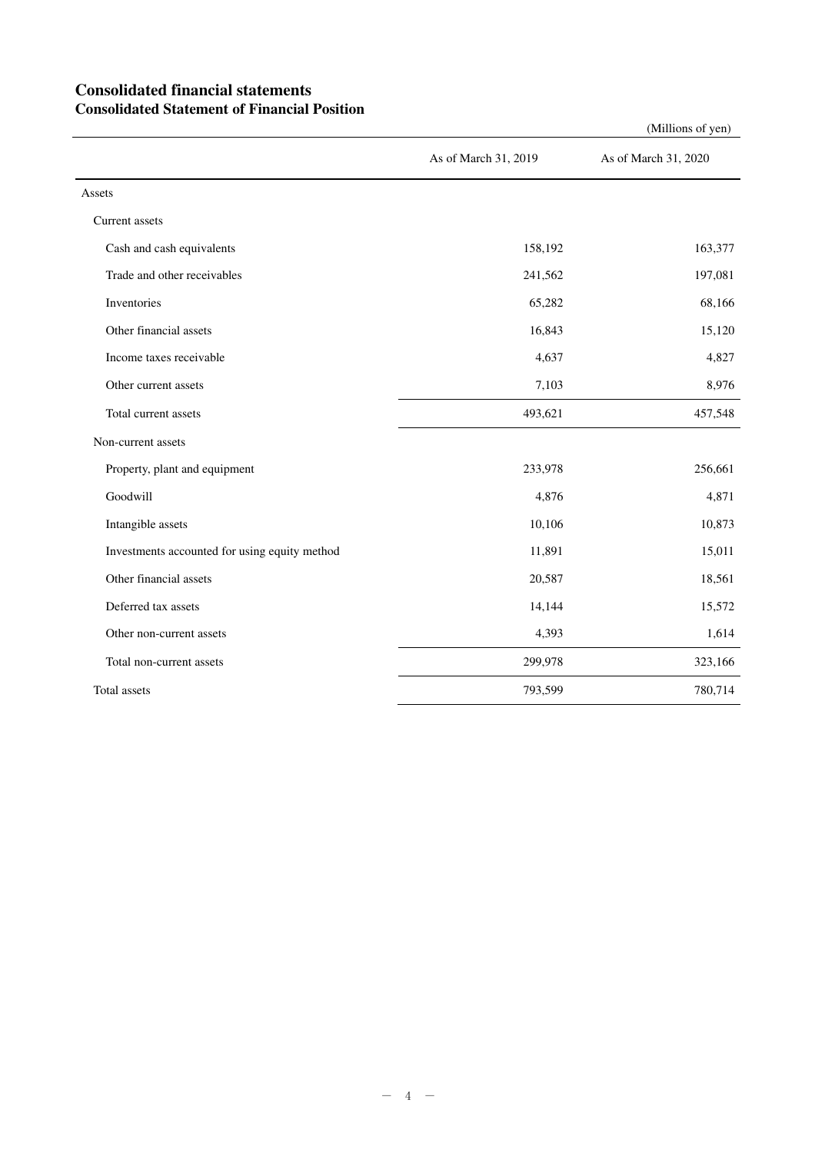### **Consolidated financial statements Consolidated Statement of Financial Position**

|                                               | As of March 31, 2019 | As of March 31, 2020 |
|-----------------------------------------------|----------------------|----------------------|
| Assets                                        |                      |                      |
| Current assets                                |                      |                      |
| Cash and cash equivalents                     | 158,192              | 163,377              |
| Trade and other receivables                   | 241,562              | 197,081              |
| Inventories                                   | 65,282               | 68,166               |
| Other financial assets                        | 16,843               | 15,120               |
| Income taxes receivable                       | 4,637                | 4,827                |
| Other current assets                          | 7,103                | 8,976                |
| Total current assets                          | 493,621              | 457,548              |
| Non-current assets                            |                      |                      |
| Property, plant and equipment                 | 233,978              | 256,661              |
| Goodwill                                      | 4,876                | 4,871                |
| Intangible assets                             | 10,106               | 10,873               |
| Investments accounted for using equity method | 11,891               | 15,011               |
| Other financial assets                        | 20,587               | 18,561               |
| Deferred tax assets                           | 14,144               | 15,572               |
| Other non-current assets                      | 4,393                | 1,614                |
| Total non-current assets                      | 299,978              | 323,166              |
| Total assets                                  | 793,599              | 780,714              |

(Millions of yen)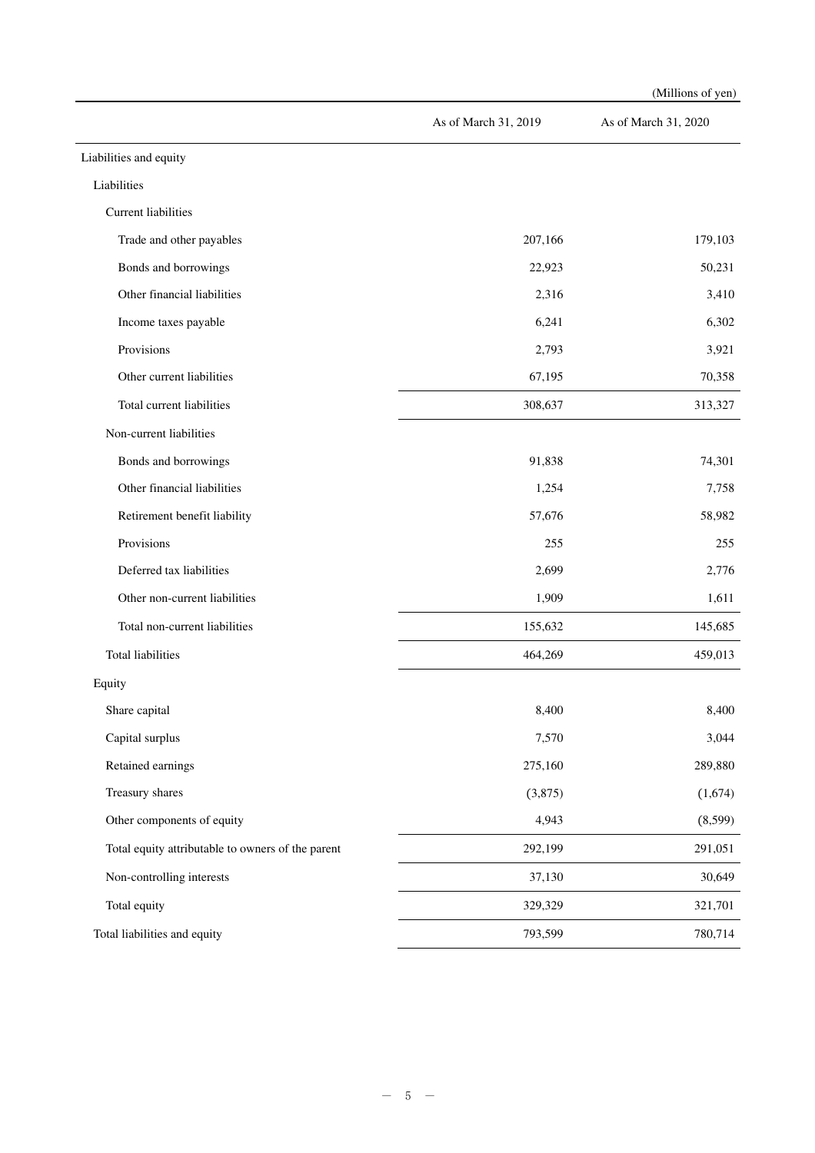|                                                   |                      | (Millions of yen)    |
|---------------------------------------------------|----------------------|----------------------|
|                                                   | As of March 31, 2019 | As of March 31, 2020 |
| Liabilities and equity                            |                      |                      |
| Liabilities                                       |                      |                      |
| <b>Current liabilities</b>                        |                      |                      |
| Trade and other payables                          | 207,166              | 179,103              |
| Bonds and borrowings                              | 22,923               | 50,231               |
| Other financial liabilities                       | 2,316                | 3,410                |
| Income taxes payable                              | 6,241                | 6,302                |
| Provisions                                        | 2,793                | 3,921                |
| Other current liabilities                         | 67,195               | 70,358               |
| Total current liabilities                         | 308,637              | 313,327              |
| Non-current liabilities                           |                      |                      |
| Bonds and borrowings                              | 91,838               | 74,301               |
| Other financial liabilities                       | 1,254                | 7,758                |
| Retirement benefit liability                      | 57,676               | 58,982               |
| Provisions                                        | 255                  | 255                  |
| Deferred tax liabilities                          | 2,699                | 2,776                |
| Other non-current liabilities                     | 1,909                | 1,611                |
| Total non-current liabilities                     | 155,632              | 145,685              |
| <b>Total liabilities</b>                          | 464,269              | 459,013              |
| Equity                                            |                      |                      |
| Share capital                                     | 8,400                | 8,400                |
| Capital surplus                                   | 7,570                | 3,044                |
| Retained earnings                                 | 275,160              | 289,880              |
| Treasury shares                                   | (3,875)              | (1,674)              |
| Other components of equity                        | 4,943                | (8,599)              |
| Total equity attributable to owners of the parent | 292,199              | 291,051              |
| Non-controlling interests                         | 37,130               | 30,649               |
| Total equity                                      | 329,329              | 321,701              |
| Total liabilities and equity                      | 793,599              | 780,714              |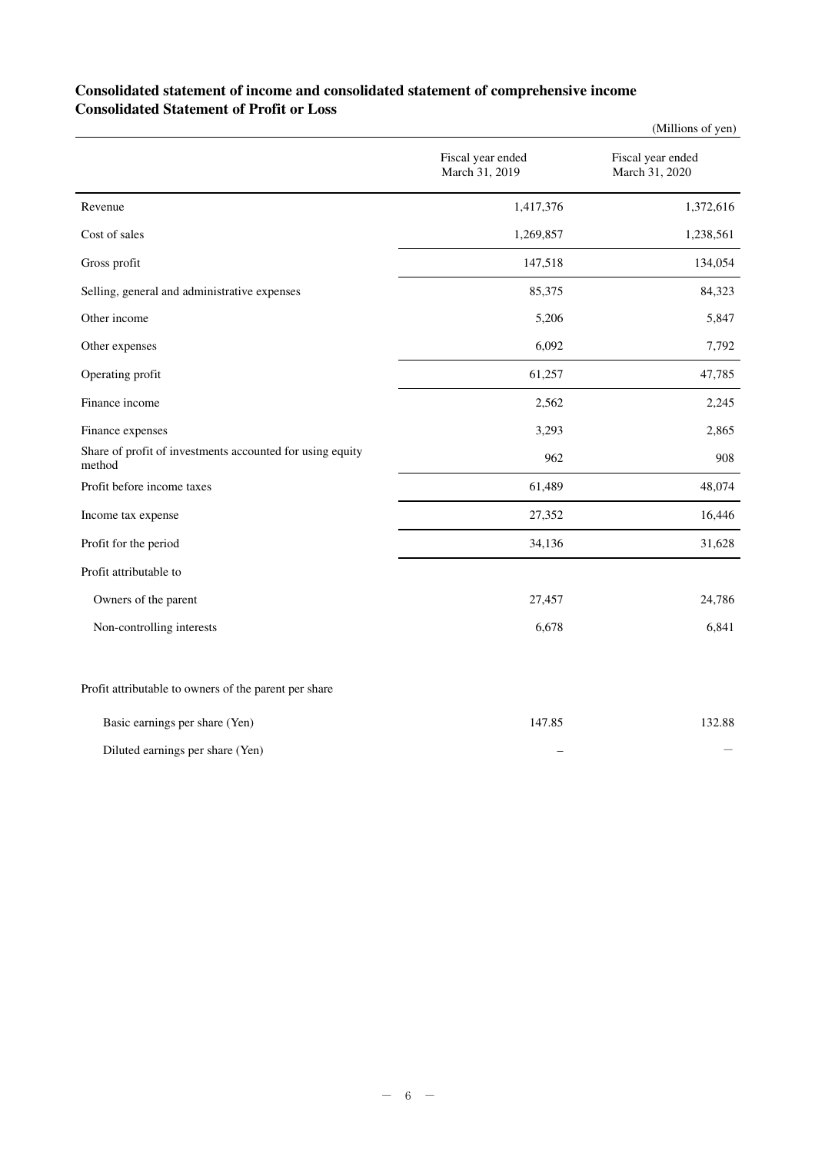#### **Consolidated statement of income and consolidated statement of comprehensive income Consolidated Statement of Profit or Loss**

|                                                                     |                                     | (Millions of yen)                   |
|---------------------------------------------------------------------|-------------------------------------|-------------------------------------|
|                                                                     | Fiscal year ended<br>March 31, 2019 | Fiscal year ended<br>March 31, 2020 |
| Revenue                                                             | 1,417,376                           | 1,372,616                           |
| Cost of sales                                                       | 1,269,857                           | 1,238,561                           |
| Gross profit                                                        | 147,518                             | 134,054                             |
| Selling, general and administrative expenses                        | 85,375                              | 84,323                              |
| Other income                                                        | 5,206                               | 5,847                               |
| Other expenses                                                      | 6,092                               | 7,792                               |
| Operating profit                                                    | 61,257                              | 47,785                              |
| Finance income                                                      | 2,562                               | 2,245                               |
| Finance expenses                                                    | 3,293                               | 2,865                               |
| Share of profit of investments accounted for using equity<br>method | 962                                 | 908                                 |
| Profit before income taxes                                          | 61,489                              | 48,074                              |
| Income tax expense                                                  | 27,352                              | 16,446                              |
| Profit for the period                                               | 34,136                              | 31,628                              |
| Profit attributable to                                              |                                     |                                     |
| Owners of the parent                                                | 27,457                              | 24,786                              |
| Non-controlling interests                                           | 6,678                               | 6,841                               |
| Profit attributable to owners of the parent per share               |                                     |                                     |

| Basic earnings per share (Yen)   | 147.85 | 132.88 |
|----------------------------------|--------|--------|
| Diluted earnings per share (Yen) |        |        |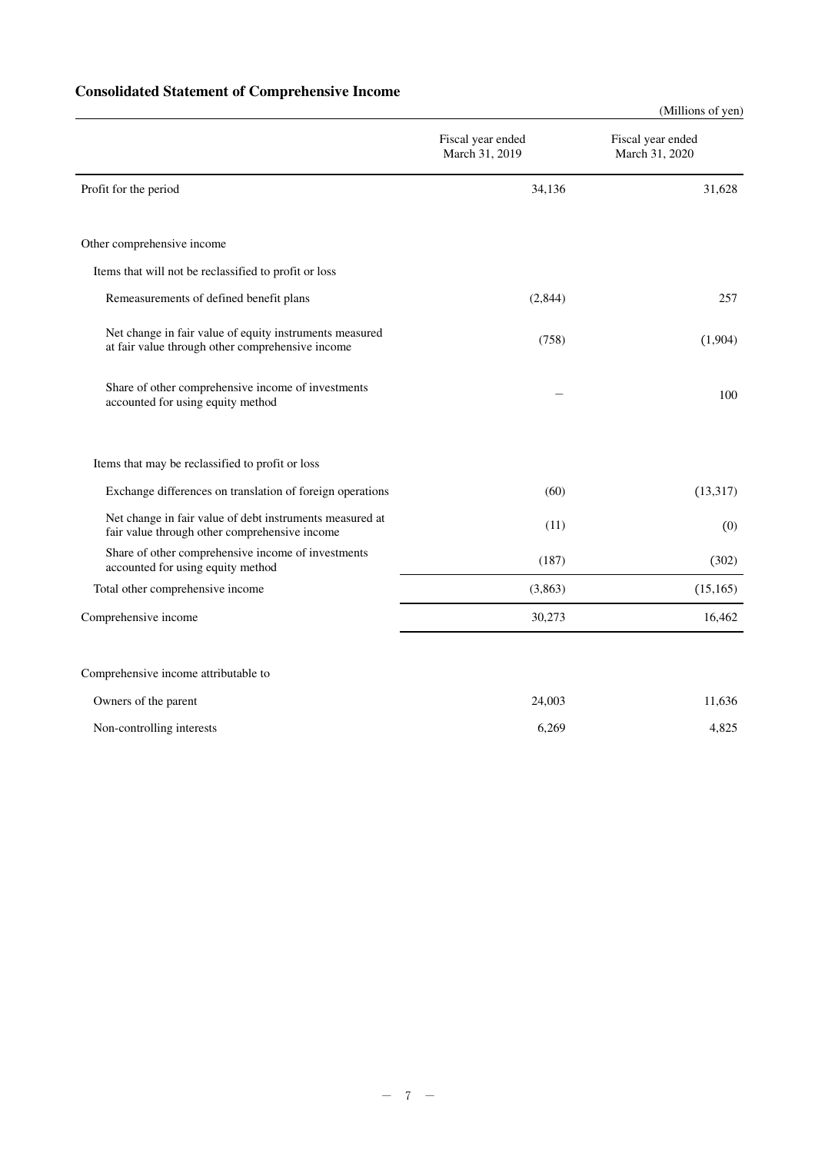## **Consolidated Statement of Comprehensive Income**

|                                                                                                             |                                     | (Millions of yen)                   |
|-------------------------------------------------------------------------------------------------------------|-------------------------------------|-------------------------------------|
|                                                                                                             | Fiscal year ended<br>March 31, 2019 | Fiscal year ended<br>March 31, 2020 |
| Profit for the period                                                                                       | 34,136                              | 31,628                              |
| Other comprehensive income                                                                                  |                                     |                                     |
| Items that will not be reclassified to profit or loss                                                       |                                     |                                     |
| Remeasurements of defined benefit plans                                                                     | (2,844)                             | 257                                 |
| Net change in fair value of equity instruments measured<br>at fair value through other comprehensive income | (758)                               | (1,904)                             |
| Share of other comprehensive income of investments<br>accounted for using equity method                     |                                     | 100                                 |
| Items that may be reclassified to profit or loss                                                            |                                     |                                     |
| Exchange differences on translation of foreign operations                                                   | (60)                                | (13, 317)                           |
| Net change in fair value of debt instruments measured at<br>fair value through other comprehensive income   | (11)                                | (0)                                 |
| Share of other comprehensive income of investments<br>accounted for using equity method                     | (187)                               | (302)                               |
| Total other comprehensive income                                                                            | (3,863)                             | (15, 165)                           |
| Comprehensive income                                                                                        | 30,273                              | 16,462                              |
| Comprehensive income attributable to                                                                        |                                     |                                     |
| Owners of the parent                                                                                        | 24,003                              | 11,636                              |

| Non-controlling interests | 6.269 | 025<br>$4.02 -$ |
|---------------------------|-------|-----------------|
|                           |       |                 |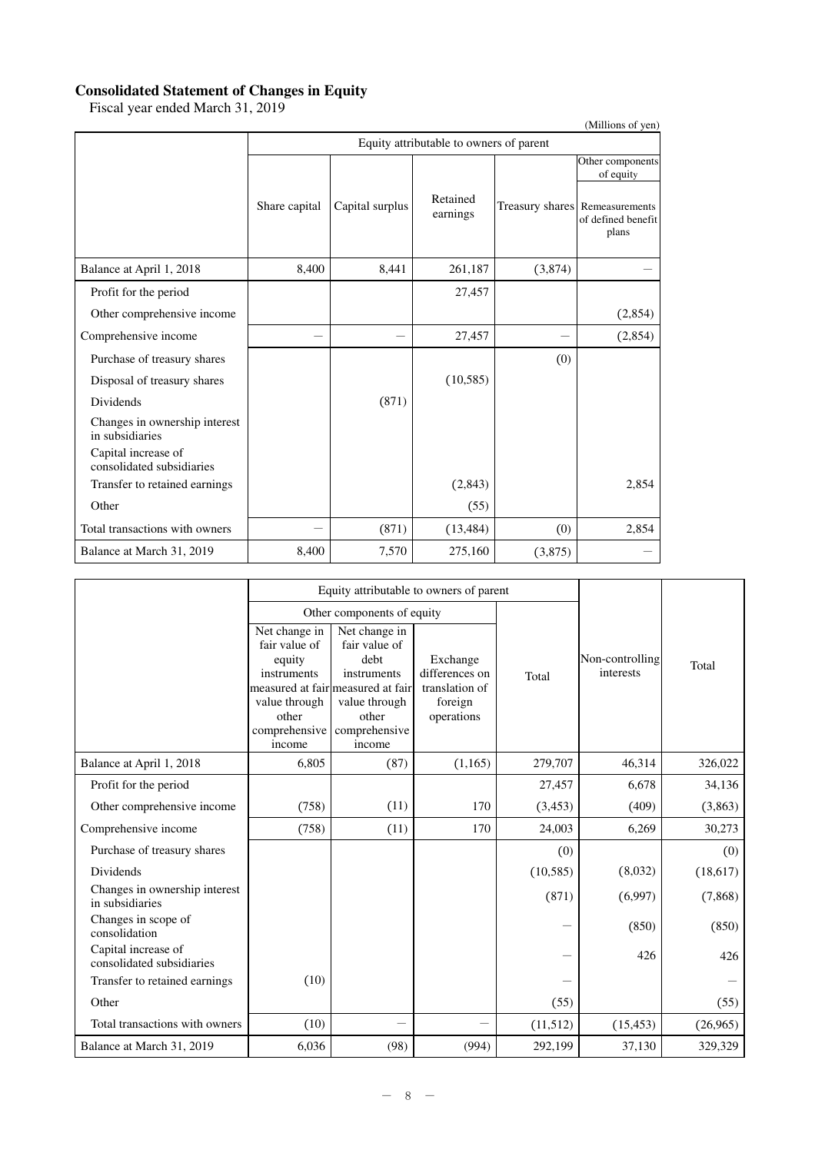#### **Consolidated Statement of Changes in Equity**

Fiscal year ended March 31, 2019

| (Millions of yen)                                |               |                 |                                         |         |                                                               |  |  |
|--------------------------------------------------|---------------|-----------------|-----------------------------------------|---------|---------------------------------------------------------------|--|--|
|                                                  |               |                 | Equity attributable to owners of parent |         |                                                               |  |  |
|                                                  |               |                 |                                         |         | Other components<br>of equity                                 |  |  |
|                                                  | Share capital | Capital surplus | Retained<br>earnings                    |         | Treasury shares Remeasurements<br>of defined benefit<br>plans |  |  |
| Balance at April 1, 2018                         | 8,400         | 8,441           | 261,187                                 | (3,874) |                                                               |  |  |
| Profit for the period                            |               |                 | 27,457                                  |         |                                                               |  |  |
| Other comprehensive income                       |               |                 |                                         |         | (2,854)                                                       |  |  |
| Comprehensive income                             |               |                 | 27,457                                  |         | (2,854)                                                       |  |  |
| Purchase of treasury shares                      |               |                 |                                         | (0)     |                                                               |  |  |
| Disposal of treasury shares                      |               |                 | (10, 585)                               |         |                                                               |  |  |
| <b>Dividends</b>                                 |               | (871)           |                                         |         |                                                               |  |  |
| Changes in ownership interest<br>in subsidiaries |               |                 |                                         |         |                                                               |  |  |
| Capital increase of<br>consolidated subsidiaries |               |                 |                                         |         |                                                               |  |  |
| Transfer to retained earnings                    |               |                 | (2,843)                                 |         | 2,854                                                         |  |  |
| Other                                            |               |                 | (55)                                    |         |                                                               |  |  |
| Total transactions with owners                   |               | (871)           | (13, 484)                               | (0)     | 2,854                                                         |  |  |
| Balance at March 31, 2019                        | 8,400         | 7,570           | 275,160                                 | (3,875) |                                                               |  |  |

|                                                  |                                                                                                              | Equity attributable to owners of parent                                                                                                         |                                                                       |           |                              |          |
|--------------------------------------------------|--------------------------------------------------------------------------------------------------------------|-------------------------------------------------------------------------------------------------------------------------------------------------|-----------------------------------------------------------------------|-----------|------------------------------|----------|
|                                                  |                                                                                                              | Other components of equity                                                                                                                      |                                                                       |           |                              |          |
|                                                  | Net change in<br>fair value of<br>equity<br>instruments<br>value through<br>other<br>comprehensive<br>income | Net change in<br>fair value of<br>debt<br>instruments<br>measured at fair measured at fair<br>value through<br>other<br>comprehensive<br>income | Exchange<br>differences on<br>translation of<br>foreign<br>operations | Total     | Non-controlling<br>interests | Total    |
| Balance at April 1, 2018                         | 6,805                                                                                                        | (87)                                                                                                                                            | (1, 165)                                                              | 279,707   | 46,314                       | 326,022  |
| Profit for the period                            |                                                                                                              |                                                                                                                                                 |                                                                       | 27,457    | 6,678                        | 34,136   |
| Other comprehensive income                       | (758)                                                                                                        | (11)                                                                                                                                            | 170                                                                   | (3, 453)  | (409)                        | (3, 863) |
| Comprehensive income                             | (758)                                                                                                        | (11)                                                                                                                                            | 170                                                                   | 24,003    | 6,269                        | 30,273   |
| Purchase of treasury shares                      |                                                                                                              |                                                                                                                                                 |                                                                       | (0)       |                              | (0)      |
| Dividends                                        |                                                                                                              |                                                                                                                                                 |                                                                       | (10, 585) | (8,032)                      | (18,617) |
| Changes in ownership interest<br>in subsidiaries |                                                                                                              |                                                                                                                                                 |                                                                       | (871)     | (6,997)                      | (7, 868) |
| Changes in scope of<br>consolidation             |                                                                                                              |                                                                                                                                                 |                                                                       |           | (850)                        | (850)    |
| Capital increase of<br>consolidated subsidiaries |                                                                                                              |                                                                                                                                                 |                                                                       |           | 426                          | 426      |
| Transfer to retained earnings                    | (10)                                                                                                         |                                                                                                                                                 |                                                                       |           |                              |          |
| Other                                            |                                                                                                              |                                                                                                                                                 |                                                                       | (55)      |                              | (55)     |
| Total transactions with owners                   | (10)                                                                                                         |                                                                                                                                                 |                                                                       | (11,512)  | (15, 453)                    | (26,965) |
| Balance at March 31, 2019                        | 6,036                                                                                                        | (98)                                                                                                                                            | (994)                                                                 | 292,199   | 37,130                       | 329,329  |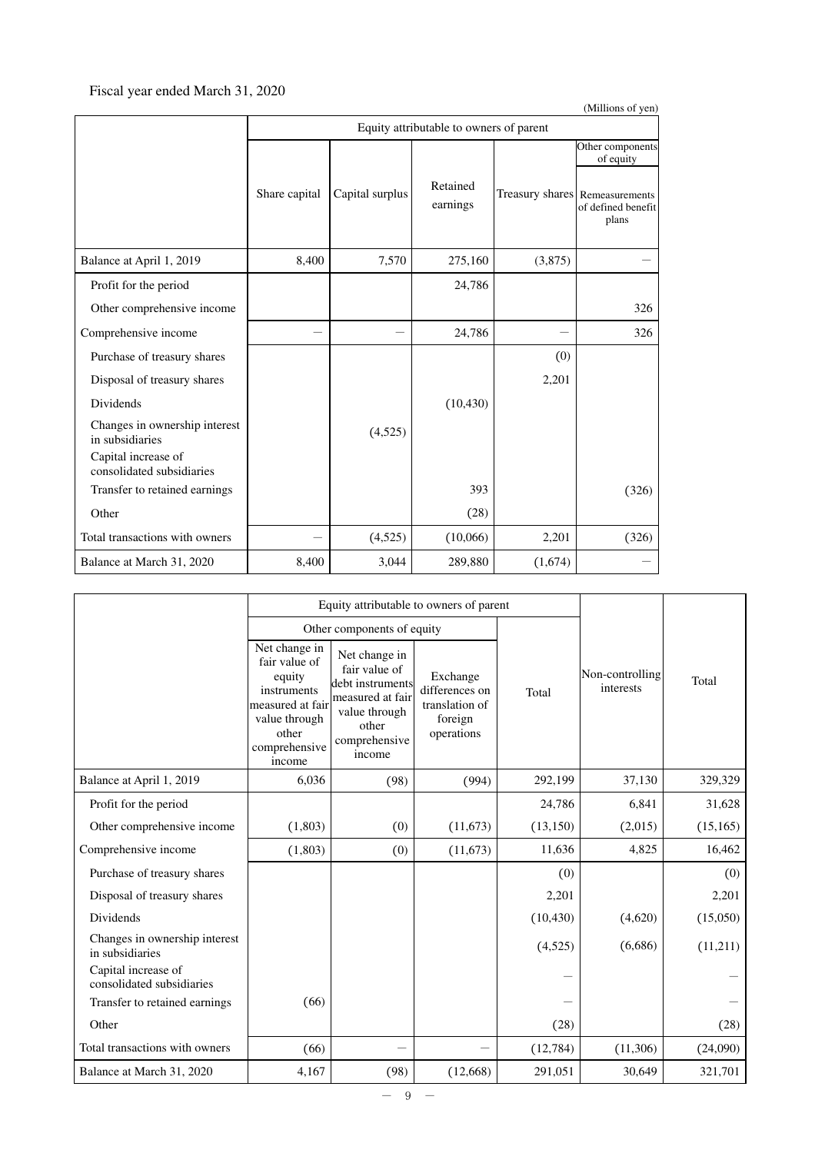### Fiscal year ended March 31, 2020

| (Millions of yen)                                |               |                 |                                         |         |                                                               |  |  |
|--------------------------------------------------|---------------|-----------------|-----------------------------------------|---------|---------------------------------------------------------------|--|--|
|                                                  |               |                 | Equity attributable to owners of parent |         |                                                               |  |  |
|                                                  |               |                 |                                         |         | Other components<br>of equity                                 |  |  |
|                                                  | Share capital | Capital surplus | Retained<br>earnings                    |         | Treasury shares Remeasurements<br>of defined benefit<br>plans |  |  |
| Balance at April 1, 2019                         | 8,400         | 7,570           | 275,160                                 | (3,875) |                                                               |  |  |
| Profit for the period                            |               |                 | 24,786                                  |         |                                                               |  |  |
| Other comprehensive income                       |               |                 |                                         |         | 326                                                           |  |  |
| Comprehensive income                             |               |                 | 24,786                                  |         | 326                                                           |  |  |
| Purchase of treasury shares                      |               |                 |                                         | (0)     |                                                               |  |  |
| Disposal of treasury shares                      |               |                 |                                         | 2,201   |                                                               |  |  |
| Dividends                                        |               |                 | (10, 430)                               |         |                                                               |  |  |
| Changes in ownership interest<br>in subsidiaries |               | (4,525)         |                                         |         |                                                               |  |  |
| Capital increase of<br>consolidated subsidiaries |               |                 |                                         |         |                                                               |  |  |
| Transfer to retained earnings                    |               |                 | 393                                     |         | (326)                                                         |  |  |
| Other                                            |               |                 | (28)                                    |         |                                                               |  |  |
| Total transactions with owners                   |               | (4,525)         | (10,066)                                | 2,201   | (326)                                                         |  |  |
| Balance at March 31, 2020                        | 8,400         | 3,044           | 289,880                                 | (1,674) |                                                               |  |  |

|                                                  | Equity attributable to owners of parent                                                                                          |                                                                                                                             |                                                                       |           |                              |           |
|--------------------------------------------------|----------------------------------------------------------------------------------------------------------------------------------|-----------------------------------------------------------------------------------------------------------------------------|-----------------------------------------------------------------------|-----------|------------------------------|-----------|
|                                                  |                                                                                                                                  | Other components of equity                                                                                                  |                                                                       |           |                              |           |
|                                                  | Net change in<br>fair value of<br>equity<br>instruments<br>measured at fair<br>value through<br>other<br>comprehensive<br>income | Net change in<br>fair value of<br>debt instruments<br>measured at fair<br>value through<br>other<br>comprehensive<br>income | Exchange<br>differences on<br>translation of<br>foreign<br>operations | Total     | Non-controlling<br>interests | Total     |
| Balance at April 1, 2019                         | 6,036                                                                                                                            | (98)                                                                                                                        | (994)                                                                 | 292,199   | 37,130                       | 329,329   |
| Profit for the period                            |                                                                                                                                  |                                                                                                                             |                                                                       | 24,786    | 6,841                        | 31,628    |
| Other comprehensive income                       | (1,803)                                                                                                                          | (0)                                                                                                                         | (11, 673)                                                             | (13, 150) | (2,015)                      | (15, 165) |
| Comprehensive income                             | (1,803)                                                                                                                          | (0)                                                                                                                         | (11,673)                                                              | 11,636    | 4,825                        | 16,462    |
| Purchase of treasury shares                      |                                                                                                                                  |                                                                                                                             |                                                                       | (0)       |                              | (0)       |
| Disposal of treasury shares                      |                                                                                                                                  |                                                                                                                             |                                                                       | 2,201     |                              | 2,201     |
| Dividends                                        |                                                                                                                                  |                                                                                                                             |                                                                       | (10, 430) | (4,620)                      | (15,050)  |
| Changes in ownership interest<br>in subsidiaries |                                                                                                                                  |                                                                                                                             |                                                                       | (4,525)   | (6,686)                      | (11,211)  |
| Capital increase of<br>consolidated subsidiaries |                                                                                                                                  |                                                                                                                             |                                                                       |           |                              |           |
| Transfer to retained earnings                    | (66)                                                                                                                             |                                                                                                                             |                                                                       |           |                              |           |
| Other                                            |                                                                                                                                  |                                                                                                                             |                                                                       | (28)      |                              | (28)      |
| Total transactions with owners                   | (66)                                                                                                                             | <u>—</u>                                                                                                                    |                                                                       | (12,784)  | (11, 306)                    | (24,090)  |
| Balance at March 31, 2020                        | 4,167                                                                                                                            | (98)                                                                                                                        | (12,668)                                                              | 291,051   | 30,649                       | 321,701   |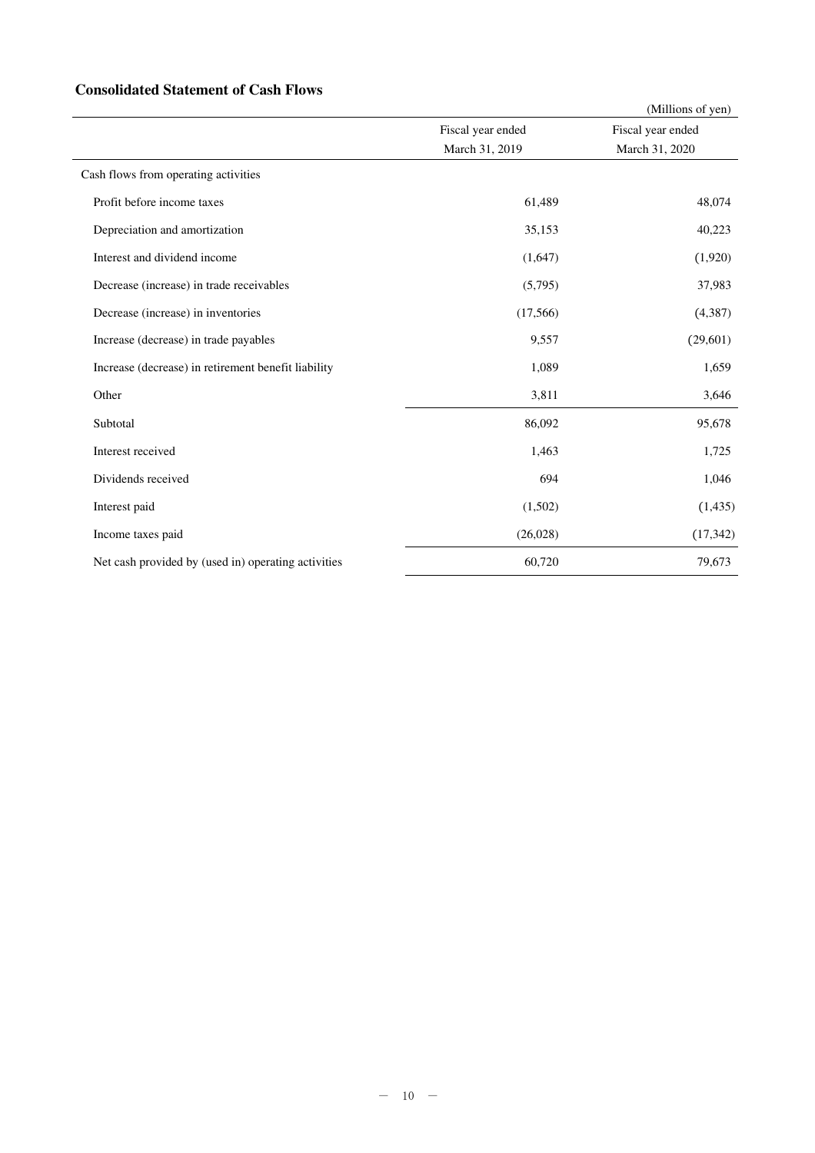### **Consolidated Statement of Cash Flows**

|                                                     |                   | (Millions of yen) |
|-----------------------------------------------------|-------------------|-------------------|
|                                                     | Fiscal year ended | Fiscal year ended |
|                                                     | March 31, 2019    | March 31, 2020    |
| Cash flows from operating activities                |                   |                   |
| Profit before income taxes                          | 61,489            | 48,074            |
| Depreciation and amortization                       | 35,153            | 40,223            |
| Interest and dividend income                        | (1,647)           | (1,920)           |
| Decrease (increase) in trade receivables            | (5,795)           | 37,983            |
| Decrease (increase) in inventories                  | (17,566)          | (4, 387)          |
| Increase (decrease) in trade payables               | 9,557             | (29,601)          |
| Increase (decrease) in retirement benefit liability | 1,089             | 1,659             |
| Other                                               | 3,811             | 3,646             |
| Subtotal                                            | 86,092            | 95,678            |
| Interest received                                   | 1,463             | 1,725             |
| Dividends received                                  | 694               | 1,046             |
| Interest paid                                       | (1,502)           | (1, 435)          |
| Income taxes paid                                   | (26,028)          | (17, 342)         |
| Net cash provided by (used in) operating activities | 60,720            | 79,673            |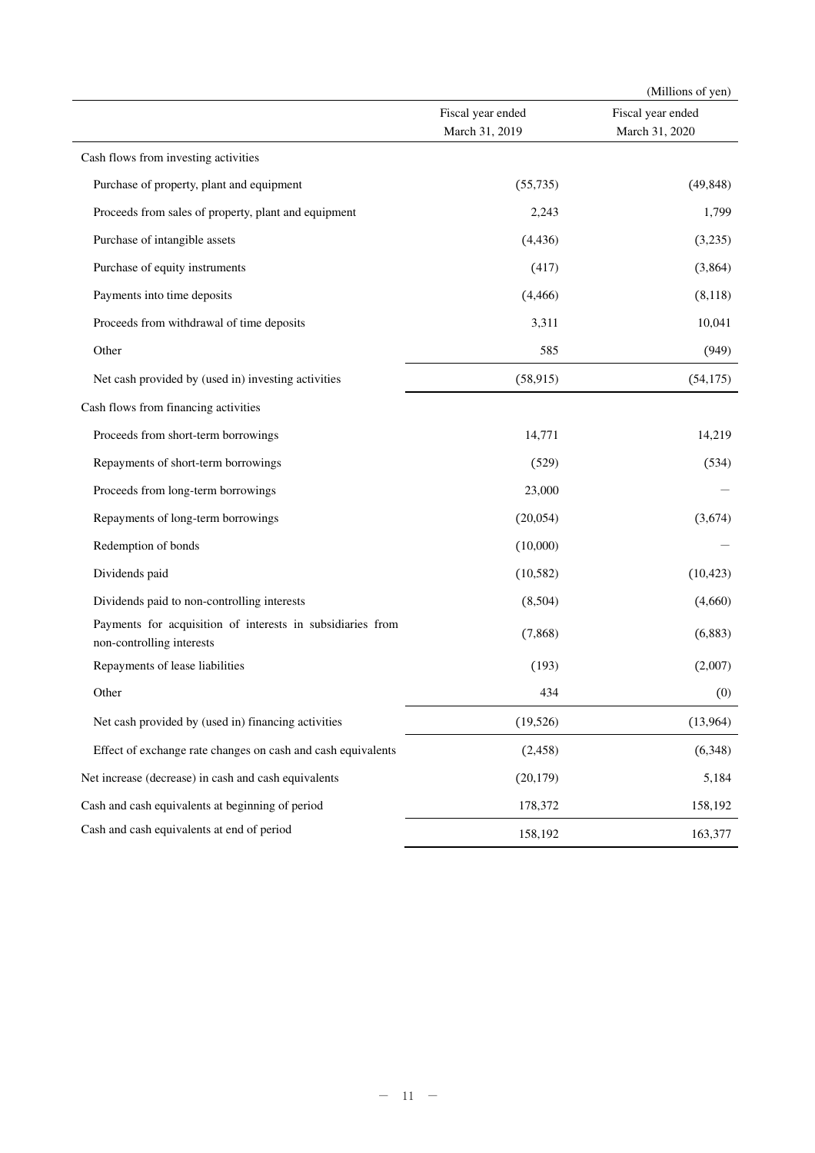|                                                                                         |                                     | (Millions of yen)                   |
|-----------------------------------------------------------------------------------------|-------------------------------------|-------------------------------------|
|                                                                                         | Fiscal year ended<br>March 31, 2019 | Fiscal year ended<br>March 31, 2020 |
| Cash flows from investing activities                                                    |                                     |                                     |
| Purchase of property, plant and equipment                                               | (55, 735)                           | (49, 848)                           |
| Proceeds from sales of property, plant and equipment                                    | 2,243                               | 1,799                               |
| Purchase of intangible assets                                                           | (4, 436)                            | (3,235)                             |
| Purchase of equity instruments                                                          | (417)                               | (3,864)                             |
| Payments into time deposits                                                             | (4, 466)                            | (8,118)                             |
| Proceeds from withdrawal of time deposits                                               | 3,311                               | 10,041                              |
| Other                                                                                   | 585                                 | (949)                               |
| Net cash provided by (used in) investing activities                                     | (58, 915)                           | (54, 175)                           |
| Cash flows from financing activities                                                    |                                     |                                     |
| Proceeds from short-term borrowings                                                     | 14,771                              | 14,219                              |
| Repayments of short-term borrowings                                                     | (529)                               | (534)                               |
| Proceeds from long-term borrowings                                                      | 23,000                              |                                     |
| Repayments of long-term borrowings                                                      | (20,054)                            | (3,674)                             |
| Redemption of bonds                                                                     | (10,000)                            |                                     |
| Dividends paid                                                                          | (10, 582)                           | (10, 423)                           |
| Dividends paid to non-controlling interests                                             | (8,504)                             | (4,660)                             |
| Payments for acquisition of interests in subsidiaries from<br>non-controlling interests | (7,868)                             | (6,883)                             |
| Repayments of lease liabilities                                                         | (193)                               | (2,007)                             |
| Other                                                                                   | 434                                 | (0)                                 |
| Net cash provided by (used in) financing activities                                     | (19, 526)                           | (13,964)                            |
| Effect of exchange rate changes on cash and cash equivalents                            | (2, 458)                            | (6,348)                             |
| Net increase (decrease) in cash and cash equivalents                                    | (20, 179)                           | 5,184                               |
| Cash and cash equivalents at beginning of period                                        | 178,372                             | 158,192                             |
| Cash and cash equivalents at end of period                                              | 158,192                             | 163,377                             |